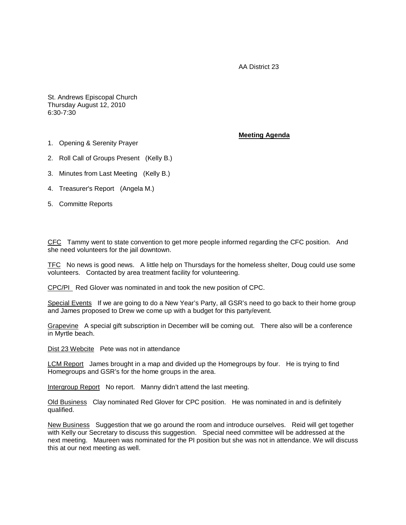AA District 23

St. Andrews Episcopal Church Thursday August 12, 2010 6:30-7:30

## 1. Opening & Serenity Prayer

## **Meeting Agenda**

- 2. Roll Call of Groups Present (Kelly B.)
- 3. Minutes from Last Meeting (Kelly B.)
- 4. Treasurer's Report (Angela M.)
- 5. Committe Reports

CFC Tammy went to state convention to get more people informed regarding the CFC position. And she need volunteers for the jail downtown.

TFC No news is good news. A little help on Thursdays for the homeless shelter, Doug could use some volunteers. Contacted by area treatment facility for volunteering.

CPC/PI Red Glover was nominated in and took the new position of CPC.

Special Events If we are going to do a New Year's Party, all GSR's need to go back to their home group and James proposed to Drew we come up with a budget for this party/event.

Grapevine A special gift subscription in December will be coming out. There also will be a conference in Myrtle beach.

Dist 23 Webcite Pete was not in attendance

LCM Report James brought in a map and divided up the Homegroups by four. He is trying to find Homegroups and GSR's for the home groups in the area.

Intergroup Report No report. Manny didn't attend the last meeting.

Old Business Clay nominated Red Glover for CPC position. He was nominated in and is definitely qualified.

New Business Suggestion that we go around the room and introduce ourselves. Reid will get together with Kelly our Secretary to discuss this suggestion. Special need committee will be addressed at the next meeting. Maureen was nominated for the PI position but she was not in attendance. We will discuss this at our next meeting as well.